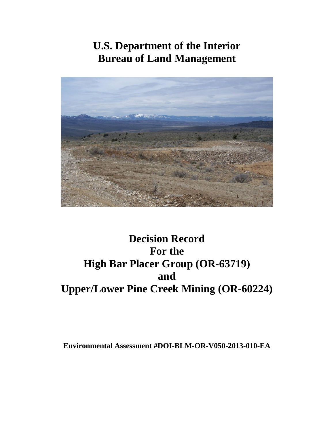# **U.S. Department of the Interior Bureau of Land Management**



# **Decision Record For the High Bar Placer Group (OR-63719) and Upper/Lower Pine Creek Mining (OR-60224)**

**Environmental Assessment #DOI-BLM-OR-V050-2013-010-EA**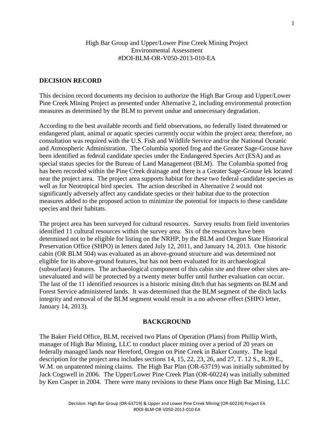#### High Bar Group and Upper/Lower Pine Creek Mining Project Environmental Assessment #DOI-BLM-OR-V050-2013-010-EA

#### **DECISION RECORD**

This decision record documents my decision to authorize the High Bar Group and Upper/Lower Pine Creek Mining Project as presented under Alternative 2, including environmental protection measures as determined by the BLM to prevent undue and unnecessary degradation.

According to the best available records and field observations, no federally listed threatened or endangered plant, animal or aquatic species currently occur within the project area; therefore, no consultation was required with the U.S. Fish and Wildlife Service and/or the National Oceanic and Atmospheric Administration. The Columbia spotted frog and the Greater Sage-Grouse have been identified as federal candidate species under the Endangered Species Act (ESA) and as special status species for the Bureau of Land Management (BLM). The Columbia spotted frog has been recorded within the Pine Creek drainage and there is a Greater Sage-Grouse lek located near the project area. The project area supports habitat for these two federal candidate species as well as for Neotropical bird species. The action described in Alternative 2 would not significantly adversely affect any candidate species or their habitat due to the protection measures added to the proposed action to minimize the potential for impacts to these candidate species and their habitats.

The project area has been surveyed for cultural resources. Survey results from field inventories identified 11 cultural resources within the survey area. Six of the resources have been determined not to be eligible for listing on the NRHP, by the BLM and Oregon State Historical Preservation Office (SHPO) in letters dated July 12, 2011, and January 14, 2013. One historic cabin (OR BLM 504) was evaluated as an above-ground structure and was determined not eligible for its above-ground features, but has not been evaluated for its archaeological (subsurface) features. The archaeological component of this cabin site and three other sites areunevaluated and will be protected by a twenty meter buffer until further evaluation can occur. The last of the 11 identified resources is a historic mining ditch that has segments on BLM and Forest Service administered lands. It was determined that the BLM segment of the ditch lacks integrity and removal of the BLM segment would result in a no adverse effect (SHPO letter, January 14, 2013).

#### **BACKGROUND**

The Baker Field Office, BLM, received two Plans of Operation (Plans) from Phillip Wirth, manager of High Bar Mining, LLC to conduct placer mining over a period of 20 years on federally managed lands near Hereford, Oregon on Pine Creek in Baker County. The legal description for the project area includes sections 14, 15, 22, 23, 26, and 27, T. 12 S., R.39 E., W.M. on unpatented mining claims. The High Bar Plan (OR-63719) was initially submitted by Jack Cogswell in 2006. The Upper/Lower Pine Creek Plan (OR-60224) was initially submitted by Ken Casper in 2004. There were many revisions to these Plans once High Bar Mining, LLC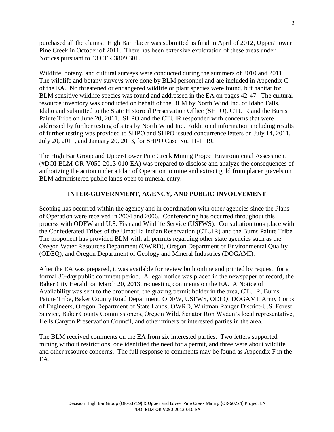purchased all the claims. High Bar Placer was submitted as final in April of 2012, Upper/Lower Pine Creek in October of 2011. There has been extensive exploration of these areas under Notices pursuant to 43 CFR 3809.301.

Wildlife, botany, and cultural surveys were conducted during the summers of 2010 and 2011. The wildlife and botany surveys were done by BLM personnel and are included in Appendix C of the EA. No threatened or endangered wildlife or plant species were found, but habitat for BLM sensitive wildlife species was found and addressed in the EA on pages 42-47. The cultural resource inventory was conducted on behalf of the BLM by North Wind Inc. of Idaho Falls, Idaho and submitted to the State Historical Preservation Office (SHPO), CTUIR and the Burns Paiute Tribe on June 20, 2011. SHPO and the CTUIR responded with concerns that were addressed by further testing of sites by North Wind Inc. Additional information including results of further testing was provided to SHPO and SHPO issued concurrence letters on July 14, 2011, July 20, 2011, and January 20, 2013, for SHPO Case No. 11-1119.

The High Bar Group and Upper/Lower Pine Creek Mining Project Environmental Assessment (#DOI-BLM-OR-V050-2013-010-EA) was prepared to disclose and analyze the consequences of authorizing the action under a Plan of Operation to mine and extract gold from placer gravels on BLM administered public lands open to mineral entry.

### **INTER-GOVERNMENT, AGENCY, AND PUBLIC INVOLVEMENT**

Scoping has occurred within the agency and in coordination with other agencies since the Plans of Operation were received in 2004 and 2006. Conferencing has occurred throughout this process with ODFW and U.S. Fish and Wildlife Service (USFWS). Consultation took place with the Confederated Tribes of the Umatilla Indian Reservation (CTUIR) and the Burns Paiute Tribe. The proponent has provided BLM with all permits regarding other state agencies such as the Oregon Water Resources Department (OWRD), Oregon Department of Environmental Quality (ODEQ), and Oregon Department of Geology and Mineral Industries (DOGAMI).

After the EA was prepared, it was available for review both online and printed by request, for a formal 30-day public comment period. A legal notice was placed in the newspaper of record, the Baker City Herald, on March 20, 2013, requesting comments on the EA. A Notice of Availability was sent to the proponent, the grazing permit holder in the area, CTUIR, Burns Paiute Tribe, Baker County Road Department, ODFW, USFWS, ODEQ, DOGAMI, Army Corps of Engineers, Oregon Department of State Lands, OWRD, Whitman Ranger District-U.S. Forest Service, Baker County Commissioners, Oregon Wild, Senator Ron Wyden's local representative, Hells Canyon Preservation Council, and other miners or interested parties in the area.

The BLM received comments on the EA from six interested parties. Two letters supported mining without restrictions, one identified the need for a permit, and three were about wildlife and other resource concerns. The full response to comments may be found as Appendix F in the EA.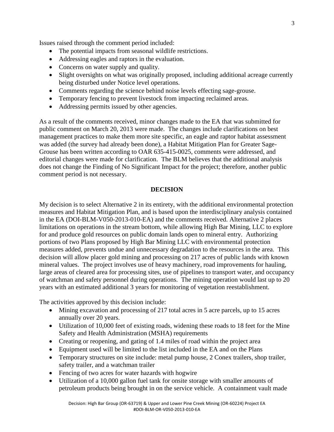Issues raised through the comment period included:

- The potential impacts from seasonal wildlife restrictions.
- Addressing eagles and raptors in the evaluation.
- Concerns on water supply and quality.
- Slight oversights on what was originally proposed, including additional acreage currently being disturbed under Notice level operations.
- Comments regarding the science behind noise levels effecting sage-grouse.
- Temporary fencing to prevent livestock from impacting reclaimed areas.
- Addressing permits issued by other agencies.

As a result of the comments received, minor changes made to the EA that was submitted for public comment on March 20, 2013 were made. The changes include clarifications on best management practices to make them more site specific, an eagle and raptor habitat assessment was added (the survey had already been done), a Habitat Mitigation Plan for Greater Sage-Grouse has been written according to OAR 635-415-0025, comments were addressed, and editorial changes were made for clarification. The BLM believes that the additional analysis does not change the Finding of No Significant Impact for the project; therefore, another public comment period is not necessary.

#### **DECISION**

My decision is to select Alternative 2 in its entirety, with the additional environmental protection measures and Habitat Mitigation Plan, and is based upon the interdisciplinary analysis contained in the EA (DOI-BLM-V050-2013-010-EA) and the comments received. Alternative 2 places limitations on operations in the stream bottom, while allowing High Bar Mining, LLC to explore for and produce gold resources on public domain lands open to mineral entry. Authorizing portions of two Plans proposed by High Bar Mining LLC with environmental protection measures added, prevents undue and unnecessary degradation to the resources in the area. This decision will allow placer gold mining and processing on 217 acres of public lands with known mineral values. The project involves use of heavy machinery, road improvements for hauling, large areas of cleared area for processing sites, use of pipelines to transport water, and occupancy of watchman and safety personnel during operations. The mining operation would last up to 20 years with an estimated additional 3 years for monitoring of vegetation reestablishment.

The activities approved by this decision include:

- Mining excavation and processing of 217 total acres in 5 acre parcels, up to 15 acres annually over 20 years.
- Utilization of 10,000 feet of existing roads, widening these roads to 18 feet for the Mine Safety and Health Administration (MSHA) requirements
- Creating or reopening, and gating of 1.4 miles of road within the project area
- Equipment used will be limited to the list included in the EA and on the Plans
- Temporary structures on site include: metal pump house, 2 Conex trailers, shop trailer, safety trailer, and a watchman trailer
- Fencing of two acres for water hazards with hogwire
- Utilization of a 10,000 gallon fuel tank for onsite storage with smaller amounts of petroleum products being brought in on the service vehicle. A containment vault made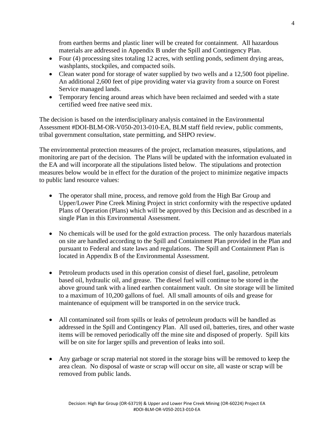from earthen berms and plastic liner will be created for containment. All hazardous materials are addressed in Appendix B under the Spill and Contingency Plan.

- Four (4) processing sites totaling 12 acres, with settling ponds, sediment drying areas, washplants, stockpiles, and compacted soils.
- Clean water pond for storage of water supplied by two wells and a 12,500 foot pipeline. An additional 2,600 feet of pipe providing water via gravity from a source on Forest Service managed lands.
- Temporary fencing around areas which have been reclaimed and seeded with a state certified weed free native seed mix.

The decision is based on the interdisciplinary analysis contained in the Environmental Assessment #DOI-BLM-OR-V050-2013-010-EA, BLM staff field review, public comments, tribal government consultation, state permitting, and SHPO review.

The environmental protection measures of the project, reclamation measures, stipulations, and monitoring are part of the decision. The Plans will be updated with the information evaluated in the EA and will incorporate all the stipulations listed below. The stipulations and protection measures below would be in effect for the duration of the project to minimize negative impacts to public land resource values:

- The operator shall mine, process, and remove gold from the High Bar Group and Upper/Lower Pine Creek Mining Project in strict conformity with the respective updated Plans of Operation (Plans) which will be approved by this Decision and as described in a single Plan in this Environmental Assessment.
- No chemicals will be used for the gold extraction process. The only hazardous materials on site are handled according to the Spill and Containment Plan provided in the Plan and pursuant to Federal and state laws and regulations. The Spill and Containment Plan is located in Appendix B of the Environmental Assessment.
- Petroleum products used in this operation consist of diesel fuel, gasoline, petroleum based oil, hydraulic oil, and grease. The diesel fuel will continue to be stored in the above ground tank with a lined earthen containment vault. On site storage will be limited to a maximum of 10,200 gallons of fuel. All small amounts of oils and grease for maintenance of equipment will be transported in on the service truck.
- All contaminated soil from spills or leaks of petroleum products will be handled as addressed in the Spill and Contingency Plan. All used oil, batteries, tires, and other waste items will be removed periodically off the mine site and disposed of properly. Spill kits will be on site for larger spills and prevention of leaks into soil.
- Any garbage or scrap material not stored in the storage bins will be removed to keep the area clean. No disposal of waste or scrap will occur on site, all waste or scrap will be removed from public lands.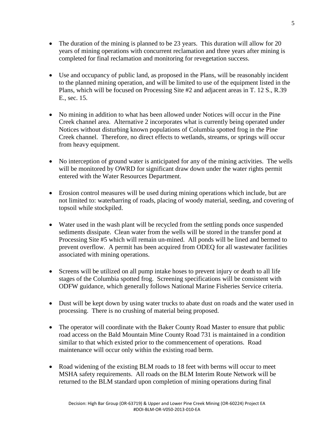- The duration of the mining is planned to be 23 years. This duration will allow for 20 years of mining operations with concurrent reclamation and three years after mining is completed for final reclamation and monitoring for revegetation success.
- Use and occupancy of public land, as proposed in the Plans, will be reasonably incident to the planned mining operation, and will be limited to use of the equipment listed in the Plans, which will be focused on Processing Site #2 and adjacent areas in T. 12 S., R.39 E., sec. 15.
- No mining in addition to what has been allowed under Notices will occur in the Pine Creek channel area. Alternative 2 incorporates what is currently being operated under Notices without disturbing known populations of Columbia spotted frog in the Pine Creek channel. Therefore, no direct effects to wetlands, streams, or springs will occur from heavy equipment.
- No interception of ground water is anticipated for any of the mining activities. The wells will be monitored by OWRD for significant draw down under the water rights permit entered with the Water Resources Department.
- Erosion control measures will be used during mining operations which include, but are not limited to: waterbarring of roads, placing of woody material, seeding, and covering of topsoil while stockpiled.
- Water used in the wash plant will be recycled from the settling ponds once suspended sediments dissipate. Clean water from the wells will be stored in the transfer pond at Processing Site #5 which will remain un-mined. All ponds will be lined and bermed to prevent overflow. A permit has been acquired from ODEQ for all wastewater facilities associated with mining operations.
- Screens will be utilized on all pump intake hoses to prevent injury or death to all life stages of the Columbia spotted frog. Screening specifications will be consistent with ODFW guidance, which generally follows National Marine Fisheries Service criteria.
- Dust will be kept down by using water trucks to abate dust on roads and the water used in processing. There is no crushing of material being proposed.
- The operator will coordinate with the Baker County Road Master to ensure that public road access on the Bald Mountain Mine County Road 731 is maintained in a condition similar to that which existed prior to the commencement of operations. Road maintenance will occur only within the existing road berm.
- Road widening of the existing BLM roads to 18 feet with berms will occur to meet MSHA safety requirements. All roads on the BLM Interim Route Network will be returned to the BLM standard upon completion of mining operations during final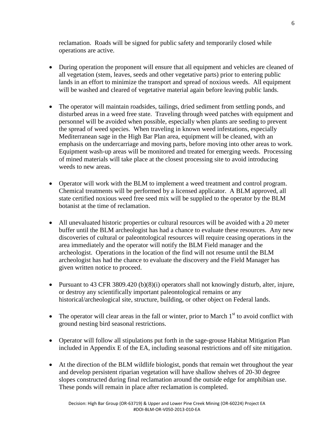reclamation. Roads will be signed for public safety and temporarily closed while operations are active.

- During operation the proponent will ensure that all equipment and vehicles are cleaned of all vegetation (stem, leaves, seeds and other vegetative parts) prior to entering public lands in an effort to minimize the transport and spread of noxious weeds. All equipment will be washed and cleared of vegetative material again before leaving public lands.
- The operator will maintain roadsides, tailings, dried sediment from settling ponds, and disturbed areas in a weed free state. Traveling through weed patches with equipment and personnel will be avoided when possible, especially when plants are seeding to prevent the spread of weed species. When traveling in known weed infestations, especially Mediterranean sage in the High Bar Plan area, equipment will be cleaned, with an emphasis on the undercarriage and moving parts, before moving into other areas to work. Equipment wash-up areas will be monitored and treated for emerging weeds. Processing of mined materials will take place at the closest processing site to avoid introducing weeds to new areas.
- Operator will work with the BLM to implement a weed treatment and control program. Chemical treatments will be performed by a licensed applicator. A BLM approved, all state certified noxious weed free seed mix will be supplied to the operator by the BLM botanist at the time of reclamation.
- All unevaluated historic properties or cultural resources will be avoided with a 20 meter buffer until the BLM archeologist has had a chance to evaluate these resources. Any new discoveries of cultural or paleontological resources will require ceasing operations in the area immediately and the operator will notify the BLM Field manager and the archeologist. Operations in the location of the find will not resume until the BLM archeologist has had the chance to evaluate the discovery and the Field Manager has given written notice to proceed.
- Pursuant to 43 CFR 3809.420 (b)(8)(i) operators shall not knowingly disturb, alter, injure, or destroy any scientifically important paleontological remains or any historical/archeological site, structure, building, or other object on Federal lands.
- The operator will clear areas in the fall or winter, prior to March  $1<sup>st</sup>$  to avoid conflict with ground nesting bird seasonal restrictions.
- Operator will follow all stipulations put forth in the sage-grouse Habitat Mitigation Plan included in Appendix E of the EA, including seasonal restrictions and off site mitigation.
- At the direction of the BLM wildlife biologist, ponds that remain wet throughout the year and develop persistent riparian vegetation will have shallow shelves of 20-30 degree slopes constructed during final reclamation around the outside edge for amphibian use. These ponds will remain in place after reclamation is completed.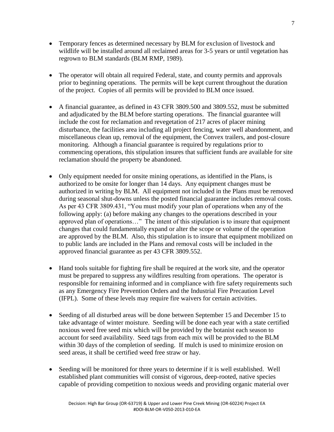- Temporary fences as determined necessary by BLM for exclusion of livestock and wildlife will be installed around all reclaimed areas for 3-5 years or until vegetation has regrown to BLM standards (BLM RMP, 1989).
- The operator will obtain all required Federal, state, and county permits and approvals prior to beginning operations. The permits will be kept current throughout the duration of the project. Copies of all permits will be provided to BLM once issued.
- A financial guarantee, as defined in 43 CFR 3809.500 and 3809.552, must be submitted and adjudicated by the BLM before starting operations. The financial guarantee will include the cost for reclamation and revegetation of 217 acres of placer mining disturbance, the facilities area including all project fencing, water well abandonment, and miscellaneous clean up, removal of the equipment, the Convex trailers, and post-closure monitoring. Although a financial guarantee is required by regulations prior to commencing operations, this stipulation insures that sufficient funds are available for site reclamation should the property be abandoned.
- Only equipment needed for onsite mining operations, as identified in the Plans, is authorized to be onsite for longer than 14 days. Any equipment changes must be authorized in writing by BLM. All equipment not included in the Plans must be removed during seasonal shut-downs unless the posted financial guarantee includes removal costs. As per 43 CFR 3809.431, "You must modify your plan of operations when any of the following apply: (a) before making any changes to the operations described in your approved plan of operations…" The intent of this stipulation is to insure that equipment changes that could fundamentally expand or alter the scope or volume of the operation are approved by the BLM. Also, this stipulation is to insure that equipment mobilized on to public lands are included in the Plans and removal costs will be included in the approved financial guarantee as per 43 CFR 3809.552.
- Hand tools suitable for fighting fire shall be required at the work site, and the operator must be prepared to suppress any wildfires resulting from operations. The operator is responsible for remaining informed and in compliance with fire safety requirements such as any Emergency Fire Prevention Orders and the Industrial Fire Precaution Level (IFPL). Some of these levels may require fire waivers for certain activities.
- Seeding of all disturbed areas will be done between September 15 and December 15 to take advantage of winter moisture. Seeding will be done each year with a state certified noxious weed free seed mix which will be provided by the botanist each season to account for seed availability. Seed tags from each mix will be provided to the BLM within 30 days of the completion of seeding. If mulch is used to minimize erosion on seed areas, it shall be certified weed free straw or hay.
- Seeding will be monitored for three years to determine if it is well established. Well established plant communities will consist of vigorous, deep-rooted, native species capable of providing competition to noxious weeds and providing organic material over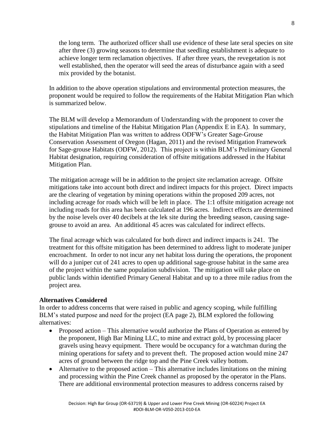the long term. The authorized officer shall use evidence of these late seral species on site after three (3) growing seasons to determine that seedling establishment is adequate to achieve longer term reclamation objectives. If after three years, the revegetation is not well established, then the operator will seed the areas of disturbance again with a seed mix provided by the botanist.

In addition to the above operation stipulations and environmental protection measures, the proponent would be required to follow the requirements of the Habitat Mitigation Plan which is summarized below.

The BLM will develop a Memorandum of Understanding with the proponent to cover the stipulations and timeline of the Habitat Mitigation Plan (Appendix E in EA). In summary, the Habitat Mitigation Plan was written to address ODFW's Greater Sage-Grouse Conservation Assessment of Oregon (Hagan, 2011) and the revised Mitigation Framework for Sage-grouse Habitats (ODFW, 2012). This project is within BLM's Preliminary General Habitat designation, requiring consideration of offsite mitigations addressed in the Habitat Mitigation Plan.

The mitigation acreage will be in addition to the project site reclamation acreage. Offsite mitigations take into account both direct and indirect impacts for this project. Direct impacts are the clearing of vegetation by mining operations within the proposed 209 acres, not including acreage for roads which will be left in place. The 1:1 offsite mitigation acreage not including roads for this area has been calculated at 196 acres. Indirect effects are determined by the noise levels over 40 decibels at the lek site during the breeding season, causing sagegrouse to avoid an area. An additional 45 acres was calculated for indirect effects.

The final acreage which was calculated for both direct and indirect impacts is 241. The treatment for this offsite mitigation has been determined to address light to moderate juniper encroachment. In order to not incur any net habitat loss during the operations, the proponent will do a juniper cut of 241 acres to open up additional sage-grouse habitat in the same area of the project within the same population subdivision. The mitigation will take place on public lands within identified Primary General Habitat and up to a three mile radius from the project area.

### **Alternatives Considered**

In order to address concerns that were raised in public and agency scoping, while fulfilling BLM's stated purpose and need for the project (EA page 2), BLM explored the following alternatives:

- Proposed action This alternative would authorize the Plans of Operation as entered by the proponent, High Bar Mining LLC, to mine and extract gold, by processing placer gravels using heavy equipment. There would be occupancy for a watchman during the mining operations for safety and to prevent theft. The proposed action would mine 247 acres of ground between the ridge top and the Pine Creek valley bottom.
- Alternative to the proposed action This alternative includes limitations on the mining and processing within the Pine Creek channel as proposed by the operator in the Plans. There are additional environmental protection measures to address concerns raised by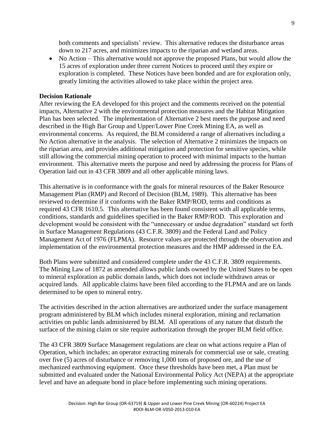both comments and specialists' review. This alternative reduces the disturbance areas down to 217 acres, and minimizes impacts to the riparian and wetland areas.

• No Action – This alternative would not approve the proposed Plans, but would allow the 15 acres of exploration under three current Notices to proceed until they expire or exploration is completed. These Notices have been bonded and are for exploration only, greatly limiting the activities allowed to take place within the project area.

#### **Decision Rationale**

After reviewing the EA developed for this project and the comments received on the potential impacts, Alternative 2 with the environmental protection measures and the Habitat Mitigation Plan has been selected. The implementation of Alternative 2 best meets the purpose and need described in the High Bar Group and Upper/Lower Pine Creek Mining EA, as well as environmental concerns. As required, the BLM considered a range of alternatives including a No Action alternative in the analysis. The selection of Alternative 2 minimizes the impacts on the riparian area, and provides additional mitigation and protection for sensitive species, while still allowing the commercial mining operation to proceed with minimal impacts to the human environment. This alternative meets the purpose and need by addressing the process for Plans of Operation laid out in 43 CFR 3809 and all other applicable mining laws.

This alternative is in conformance with the goals for mineral resources of the Baker Resource Management Plan (RMP) and Record of Decision (BLM, 1989). This alternative has been reviewed to determine if it conforms with the Baker RMP/ROD, terms and conditions as required 43 CFR 1610.5. This alternative has been found consistent with all applicable terms, conditions, standards and guidelines specified in the Baker RMP/ROD. This exploration and development would be consistent with the "unnecessary or undue degradation" standard set forth in Surface Management Regulations (43 C.F.R. 3809) and the Federal Land and Policy Management Act of 1976 (FLPMA). Resource values are protected through the observation and implementation of the environmental protection measures and the HMP addressed in the EA.

Both Plans were submitted and considered complete under the 43 C.F.R. 3809 requirements. The Mining Law of 1872 as amended allows public lands owned by the United States to be open to mineral exploration as public domain lands, which does not include withdrawn areas or acquired lands. All applicable claims have been filed according to the FLPMA and are on lands determined to be open to mineral entry.

The activities described in the action alternatives are authorized under the surface management program administered by BLM which includes mineral exploration, mining and reclamation activities on public lands administered by BLM. All operations of any nature that disturb the surface of the mining claim or site require authorization through the proper BLM field office.

The 43 CFR 3809 Surface Management regulations are clear on what actions require a Plan of Operation, which includes; an operator extracting minerals for commercial use or sale, creating over five (5) acres of disturbance or removing 1,000 tons of proposed ore, and the use of mechanized earthmoving equipment. Once these thresholds have been met, a Plan must be submitted and evaluated under the National Environmental Policy Act (NEPA) at the appropriate level and have an adequate bond in place before implementing such mining operations.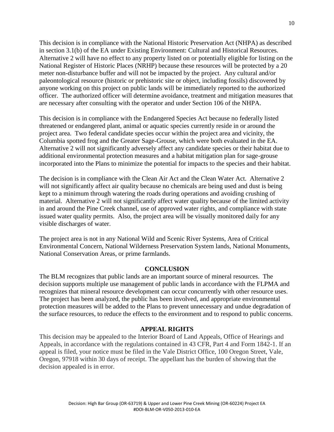This decision is in compliance with the National Historic Preservation Act (NHPA) as described in section 3.1(b) of the EA under Existing Environment: Cultural and Historical Resources. Alternative 2 will have no effect to any property listed on or potentially eligible for listing on the National Register of Historic Places (NRHP) because these resources will be protected by a 20 meter non-disturbance buffer and will not be impacted by the project. Any cultural and/or paleontological resource (historic or prehistoric site or object, including fossils) discovered by anyone working on this project on public lands will be immediately reported to the authorized officer. The authorized officer will determine avoidance, treatment and mitigation measures that are necessary after consulting with the operator and under Section 106 of the NHPA.

This decision is in compliance with the Endangered Species Act because no federally listed threatened or endangered plant, animal or aquatic species currently reside in or around the project area. Two federal candidate species occur within the project area and vicinity, the Columbia spotted frog and the Greater Sage-Grouse, which were both evaluated in the EA. Alternative 2 will not significantly adversely affect any candidate species or their habitat due to additional environmental protection measures and a habitat mitigation plan for sage-grouse incorporated into the Plans to minimize the potential for impacts to the species and their habitat.

The decision is in compliance with the Clean Air Act and the Clean Water Act. Alternative 2 will not significantly affect air quality because no chemicals are being used and dust is being kept to a minimum through watering the roads during operations and avoiding crushing of material. Alternative 2 will not significantly affect water quality because of the limited activity in and around the Pine Creek channel, use of approved water rights, and compliance with state issued water quality permits. Also, the project area will be visually monitored daily for any visible discharges of water.

The project area is not in any National Wild and Scenic River Systems, Area of Critical Environmental Concern, National Wilderness Preservation System lands, National Monuments, National Conservation Areas, or prime farmlands.

#### **CONCLUSION**

The BLM recognizes that public lands are an important source of mineral resources. The decision supports multiple use management of public lands in accordance with the FLPMA and recognizes that mineral resource development can occur concurrently with other resource uses. The project has been analyzed, the public has been involved, and appropriate environmental protection measures will be added to the Plans to prevent unnecessary and undue degradation of the surface resources, to reduce the effects to the environment and to respond to public concerns.

#### **APPEAL RIGHTS**

This decision may be appealed to the Interior Board of Land Appeals, Office of Hearings and Appeals, in accordance with the regulations contained in 43 CFR, Part 4 and Form 1842-1. If an appeal is filed, your notice must be filed in the Vale District Office, 100 Oregon Street, Vale, Oregon, 97918 within 30 days of receipt. The appellant has the burden of showing that the decision appealed is in error.